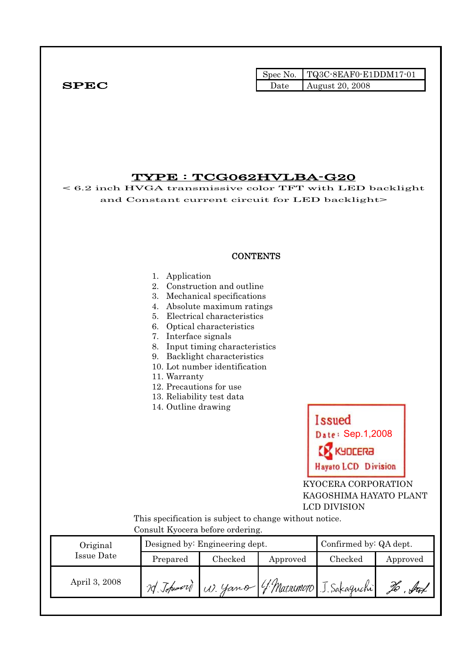|              | Spec No. $TQ3C-8EAF0-E1DDM17-01$ |
|--------------|----------------------------------|
| ${\bf SPEC}$ | Date August 20, 2008             |

# TYPE : TCG062HVLBA-G20

< 6.2 inch HVGA transmissive color TFT with LED backlight and Constant current circuit for LED backlight>

# **CONTENTS**

#### 1. Application

- 2. Construction and outline
- 3. Mechanical specifications
- 4. Absolute maximum ratings
- 5. Electrical characteristics
- 6. Optical characteristics
- 7. Interface signals
- 8. Input timing characteristics
- 9. Backlight characteristics
- 10. Lot number identification
- 11. Warranty
- 12. Precautions for use
- 13. Reliability test data
- 14. Outline drawing



 KYOCERA CORPORATION KAGOSHIMA HAYATO PLANT LCD DIVISION

 This specification is subject to change without notice. Consult Kyocera before ordering.

| Original      |            | Designed by: Engineering dept. | Confirmed by: QA dept. |                                   |          |
|---------------|------------|--------------------------------|------------------------|-----------------------------------|----------|
| Issue Date    | Prepared   | Checked                        | Approved               | $\rm Checked$                     | Approved |
| April 3, 2008 | 20 Johnson |                                |                        | W. yamo 4. Marremoro J. Sakaguchi |          |
|               |            |                                |                        |                                   |          |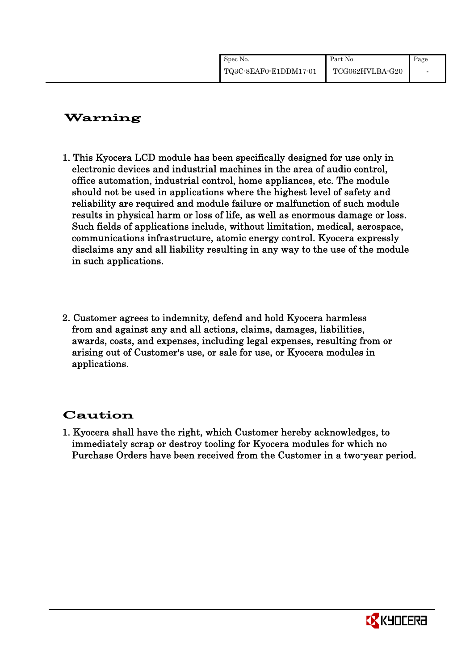| Spec No.              | Part No.        | Page |
|-----------------------|-----------------|------|
| TQ3C-8EAF0-E1DDM17-01 | TCG062HVLBA-G20 |      |

# Warning

- 1. This Kyocera LCD module has been specifically designed for use only in electronic devices and industrial machines in the area of audio control, office automation, industrial control, home appliances, etc. The module should not be used in applications where the highest level of safety and reliability are required and module failure or malfunction of such module results in physical harm or loss of life, as well as enormous damage or loss. Such fields of applications include, without limitation, medical, aerospace, communications infrastructure, atomic energy control. Kyocera expressly disclaims any and all liability resulting in any way to the use of the module in such applications.
- 2. Customer agrees to indemnity, defend and hold Kyocera harmless from and against any and all actions, claims, damages, liabilities, awards, costs, and expenses, including legal expenses, resulting from or arising out of Customer's use, or sale for use, or Kyocera modules in applications.

# Caution

1. Kyocera shall have the right, which Customer hereby acknowledges, to immediately scrap or destroy tooling for Kyocera modules for which no Purchase Orders have been received from the Customer in a two-year period.

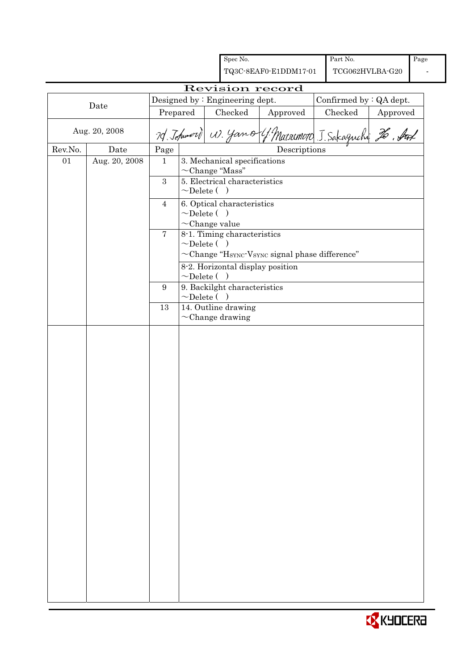|         |               |                 |                  |                                                    | Spec No.                                              |                                                                              |  | Part No.                |          | Page |
|---------|---------------|-----------------|------------------|----------------------------------------------------|-------------------------------------------------------|------------------------------------------------------------------------------|--|-------------------------|----------|------|
|         |               |                 |                  | TQ3C-8EAF0-E1DDM17-01                              |                                                       |                                                                              |  | TCG062HVLBA-G20         |          |      |
|         |               |                 |                  |                                                    |                                                       | Revision record                                                              |  |                         |          |      |
|         | Date          |                 |                  |                                                    | Designed by: Engineering dept.                        |                                                                              |  | Confirmed by : QA dept. |          |      |
|         |               | Prepared        |                  |                                                    | Checked                                               | Approved                                                                     |  | Checked                 | Approved |      |
|         | Aug. 20, 2008 |                 |                  |                                                    |                                                       | 70 Johnnord W. Yamo 4 Marsonord J. Sakagnchy 26. Surl                        |  |                         |          |      |
| Rev.No. | Date          | Page            |                  |                                                    |                                                       | Descriptions                                                                 |  |                         |          |      |
| 01      | Aug. 20, 2008 | $\mathbf{1}$    |                  |                                                    | 3. Mechanical specifications                          |                                                                              |  |                         |          |      |
|         |               | $\overline{3}$  |                  |                                                    | $\sim$ Change "Mass"<br>5. Electrical characteristics |                                                                              |  |                         |          |      |
|         |               |                 | $\sim$ Delete () |                                                    |                                                       |                                                                              |  |                         |          |      |
|         |               | $\overline{4}$  |                  |                                                    | 6. Optical characteristics                            |                                                                              |  |                         |          |      |
|         |               |                 | $\sim$ Delete () |                                                    |                                                       |                                                                              |  |                         |          |      |
|         |               | $\overline{7}$  |                  | $\sim$ Change value<br>8-1. Timing characteristics |                                                       |                                                                              |  |                         |          |      |
|         |               |                 | $\sim$ Delete () |                                                    |                                                       |                                                                              |  |                         |          |      |
|         |               |                 |                  |                                                    |                                                       | $\sim$ Change "H <sub>SYNC</sub> -V <sub>SYNC</sub> signal phase difference" |  |                         |          |      |
|         |               |                 |                  |                                                    | 8-2. Horizontal display position                      |                                                                              |  |                         |          |      |
|         |               |                 | $\sim$ Delete () |                                                    |                                                       |                                                                              |  |                         |          |      |
|         |               | $9\phantom{.0}$ | $\sim$ Delete () |                                                    | 9. Backilght characteristics                          |                                                                              |  |                         |          |      |
|         |               | 13              |                  |                                                    | 14. Outline drawing                                   |                                                                              |  |                         |          |      |
|         |               |                 |                  |                                                    | $\sim$ Change drawing                                 |                                                                              |  |                         |          |      |
|         |               |                 |                  |                                                    |                                                       |                                                                              |  |                         |          |      |
|         |               |                 |                  |                                                    |                                                       |                                                                              |  |                         |          |      |
|         |               |                 |                  |                                                    |                                                       |                                                                              |  |                         |          |      |
|         |               |                 |                  |                                                    |                                                       |                                                                              |  |                         |          |      |
|         |               |                 |                  |                                                    |                                                       |                                                                              |  |                         |          |      |
|         |               |                 |                  |                                                    |                                                       |                                                                              |  |                         |          |      |
|         |               |                 |                  |                                                    |                                                       |                                                                              |  |                         |          |      |
|         |               |                 |                  |                                                    |                                                       |                                                                              |  |                         |          |      |
|         |               |                 |                  |                                                    |                                                       |                                                                              |  |                         |          |      |
|         |               |                 |                  |                                                    |                                                       |                                                                              |  |                         |          |      |
|         |               |                 |                  |                                                    |                                                       |                                                                              |  |                         |          |      |
|         |               |                 |                  |                                                    |                                                       |                                                                              |  |                         |          |      |
|         |               |                 |                  |                                                    |                                                       |                                                                              |  |                         |          |      |
|         |               |                 |                  |                                                    |                                                       |                                                                              |  |                         |          |      |
|         |               |                 |                  |                                                    |                                                       |                                                                              |  |                         |          |      |
|         |               |                 |                  |                                                    |                                                       |                                                                              |  |                         |          |      |
|         |               |                 |                  |                                                    |                                                       |                                                                              |  |                         |          |      |
|         |               |                 |                  |                                                    |                                                       |                                                                              |  |                         |          |      |
|         |               |                 |                  |                                                    |                                                       |                                                                              |  |                         |          |      |
|         |               |                 |                  |                                                    |                                                       |                                                                              |  |                         |          |      |
|         |               |                 |                  |                                                    |                                                       |                                                                              |  |                         |          |      |
|         |               |                 |                  |                                                    |                                                       |                                                                              |  |                         |          |      |
|         |               |                 |                  |                                                    |                                                       |                                                                              |  |                         |          |      |
|         |               |                 |                  |                                                    |                                                       |                                                                              |  |                         |          |      |

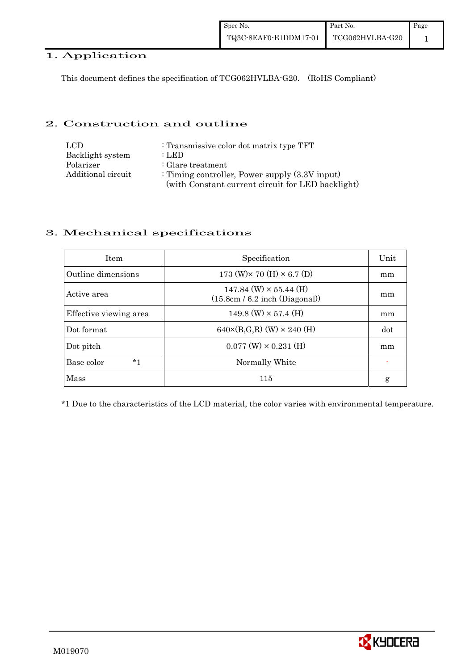# 1. Application

This document defines the specification of TCG062HVLBA-G20. (RoHS Compliant)

### 2. Construction and outline

| LCD.               | : Transmissive color dot matrix type TFT          |
|--------------------|---------------------------------------------------|
| Backlight system   | : LED                                             |
| Polarizer          | : Glare treatment                                 |
| Additional circuit | : Timing controller, Power supply $(3.3V)$ input) |
|                    | (with Constant current circuit for LED backlight) |

### 3. Mechanical specifications

| <b>Item</b>            | Specification                                                     | Unit |
|------------------------|-------------------------------------------------------------------|------|
| Outline dimensions     | $173$ (W) $\times$ 70 (H) $\times$ 6.7 (D)                        | mm   |
| Active area            | $147.84$ (W) $\times$ 55.44 (H)<br>(15.8cm / 6.2 inch (Diagonal)) | mm   |
| Effective viewing area | $149.8$ (W) $\times$ 57.4 (H)                                     | mm   |
| Dot format             | $640 \times (B,G,R)$ (W) $\times 240$ (H)                         | dot  |
| Dot pitch              | $0.077$ (W) $\times$ 0.231 (H)                                    | mm   |
| Base color<br>*1       | Normally White                                                    |      |
| Mass                   | 115                                                               | g    |

\*1 Due to the characteristics of the LCD material, the color varies with environmental temperature.

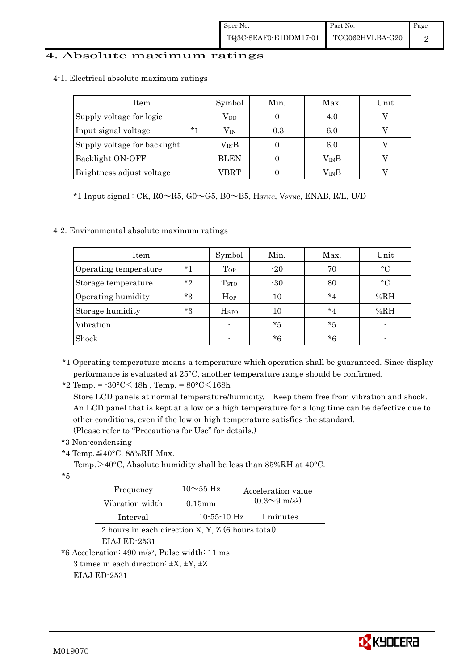#### 4. Absolute maximum ratings

4-1. Electrical absolute maximum ratings

| Item                         | Symbol        | Min.   | Max.          | Unit |
|------------------------------|---------------|--------|---------------|------|
| Supply voltage for logic     | $\rm V_{DD}$  |        | 4.0           |      |
| $*1$<br>Input signal voltage | $\rm V_{IN}$  | $-0.3$ | 6.0           |      |
| Supply voltage for backlight | $\rm V_{IN}B$ |        | 6.0           |      |
| Backlight ON-OFF             | <b>BLEN</b>   |        | $\rm V_{IN}B$ |      |
| Brightness adjust voltage    | VBRT          |        | VinB          |      |

\*1 Input signal : CK,  $R0 \sim R5$ ,  $G0 \sim G5$ ,  $B0 \sim B5$ ,  $H<sub>SYNC</sub>$ ,  $V<sub>SYNC</sub>$ , ENAB, R/L, U/D

4-2. Environmental absolute maximum ratings

| Item                  |         | Symbol                   | Min.    | Max.    | Unit        |
|-----------------------|---------|--------------------------|---------|---------|-------------|
| Operating temperature | $*1$    | $_{Top}$                 | $-20$   | 70      | $\circ$ C   |
| Storage temperature   | $*_{2}$ | T <sub>STO</sub>         | $-30$   | 80      | $^{\circ}C$ |
| Operating humidity    | $*3$    | Hop                      | 10      | $*_{4}$ | %RH         |
| Storage humidity      | $*3$    | $_{\mathrm{HSTO}}$       | 10      | $*_{4}$ | %RH         |
| Vibration             |         |                          | $*_{5}$ | $*5$    |             |
| Shock                 |         | $\overline{\phantom{0}}$ | $*6$    | $*6$    |             |

\*1 Operating temperature means a temperature which operation shall be guaranteed. Since display performance is evaluated at 25°C, another temperature range should be confirmed.

\*2 Temp. =  $-30^{\circ}$ C $<$ 48h, Temp. =  $80^{\circ}$ C $<$ 168h

 Store LCD panels at normal temperature/humidity. Keep them free from vibration and shock. An LCD panel that is kept at a low or a high temperature for a long time can be defective due to other conditions, even if the low or high temperature satisfies the standard.

(Please refer to "Precautions for Use" for details.)

\*3 Non-condensing

\*4 Temp. $\leq$ 40°C, 85%RH Max.

Temp.>40°C, Absolute humidity shall be less than 85%RH at 40°C.

\*5

| Frequency       | $10\sim$ 55 Hz    | Acceleration value           |
|-----------------|-------------------|------------------------------|
| Vibration width | $0.15$ mm         | $(0.3 \sim 9 \text{ m/s}^2)$ |
| Interval        | $10 - 55 - 10$ Hz | 1 minutes                    |

 2 hours in each direction X, Y, Z (6 hours total) EIAJ ED-2531

\*6 Acceleration: 490 m/s2, Pulse width: 11 ms

3 times in each direction:  $\pm X$ ,  $\pm Y$ ,  $\pm Z$ 

EIAJ ED-2531

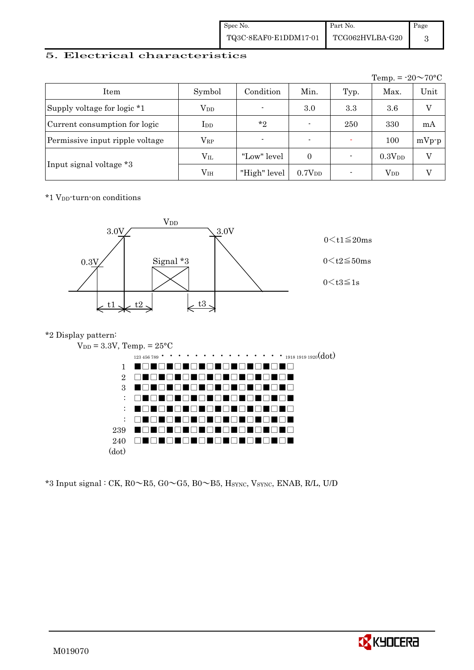| Spec No.              | Part No.        | Page |
|-----------------------|-----------------|------|
| TQ3C-8EAF0-E1DDM17-01 | TCG062HVLBA-G20 |      |

### 5. Electrical characteristics

|                                 |               |                          |                    |      | Temp. = $-20 \sim 70$ °C |         |
|---------------------------------|---------------|--------------------------|--------------------|------|--------------------------|---------|
| Item                            | Symbol        | Condition                | Min.               | Typ. | Max.                     | Unit    |
| Supply voltage for logic *1     | $\rm V_{DD}$  | $\blacksquare$           | 3.0                | 3.3  | 3.6                      | V       |
| Current consumption for logic   | $_{\rm{LDD}}$ | $*_{2}$                  | $\blacksquare$     | 250  | 330                      | mA      |
| Permissive input ripple voltage | $\rm V_{RP}$  | $\overline{\phantom{a}}$ | $\blacksquare$     |      | 100                      | $mVp-p$ |
|                                 | $\rm V_{II}$  | "Low" level              | $\Omega$           |      | 0.3V <sub>DD</sub>       | V       |
| Input signal voltage *3         | $\rm V_{IH}$  | "High" level             | 0.7V <sub>DD</sub> |      | $\rm V_{DD}$             |         |

\*1 VDD-turn-on conditions



# \*2 Display pattern:



 $*3$  Input signal : CK, R0 $\sim$ R5, G0 $\sim$ G5, B0 $\sim$ B5, H<sub>SYNC</sub>, V<sub>SYNC</sub>, ENAB, R/L, U/D

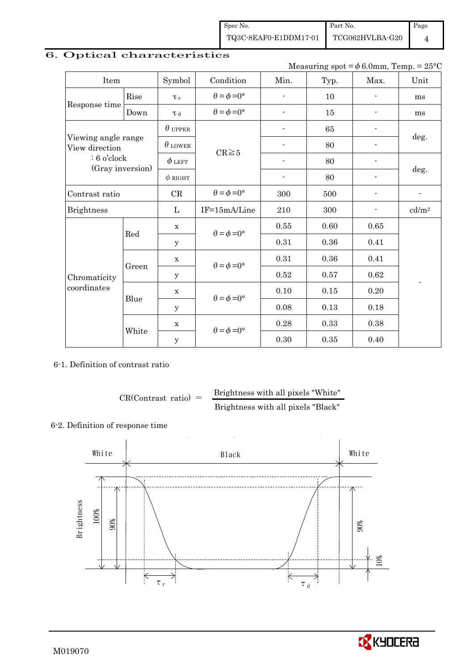Spec No. TQ3C-8EAF0-E1DDM17-01

TCG062HVLBA-G20

Page 4

# 6. Optical characteristics

Measuring spot =  $\phi$  6.0mm, Temp. = 25°C

Part No.

| Item                                  |       | Symbol         | Condition                   | Min.                     | Typ. | Max.                     | Unit                     |
|---------------------------------------|-------|----------------|-----------------------------|--------------------------|------|--------------------------|--------------------------|
|                                       | Rise  | $\tau_r$       | $\theta = \phi = 0^{\circ}$ | $\overline{\phantom{0}}$ | 10   | $\blacksquare$           | ms                       |
| Response time                         | Down  | T d            | $\theta = \phi = 0^{\circ}$ | $\overline{\phantom{0}}$ | 15   |                          | ms                       |
|                                       |       | $\theta$ upper |                             |                          | 65   |                          |                          |
| Viewing angle range<br>View direction |       | $\theta$ lower | $CR \ge 5$                  |                          | 80   |                          | deg.                     |
| $: 6$ o'clock                         |       | $\phi$ left    |                             | ٠                        | 80   |                          |                          |
| (Gray inversion)                      |       | $\phi$ RIGHT   |                             | $\overline{\phantom{a}}$ | 80   | $\overline{\phantom{a}}$ | deg.                     |
| Contrast ratio                        |       | CR             | $\theta = \phi = 0^{\circ}$ | 300                      | 500  | ÷,                       | $\frac{1}{2}$            |
| <b>Brightness</b>                     |       | L              | IF=15mA/Line                | 210                      | 300  |                          | cd/m <sup>2</sup>        |
|                                       | Red   | $\mathbf x$    | $\theta = \phi = 0^{\circ}$ | 0.55                     | 0.60 | 0.65                     |                          |
|                                       |       | y              |                             | 0.31                     | 0.36 | 0.41                     |                          |
|                                       |       | $\mathbf x$    | $\theta = \phi = 0^{\circ}$ | 0.31                     | 0.36 | 0.41                     |                          |
| Chromaticity                          | Green | У              |                             | 0.52                     | 0.57 | 0.62                     | $\overline{\phantom{m}}$ |
| coordinates                           |       | $\mathbf X$    | $\theta = \phi = 0^{\circ}$ | 0.10                     | 0.15 | 0.20                     |                          |
|                                       | Blue  | $\mathbf y$    |                             | 0.08                     | 0.13 | 0.18                     |                          |
|                                       |       | $\mathbf X$    | $\theta = \phi = 0^{\circ}$ | 0.28                     | 0.33 | 0.38                     |                          |
|                                       | White | $\mathbf y$    |                             | 0.30                     | 0.35 | 0.40                     |                          |

6-1. Definition of contrast ratio

$$
CR(Contrast ratio) = \frac{Brightness with all pixels "White"
$$
  
Brightness with all pixels "Black"

### 6-2. Definition of response time



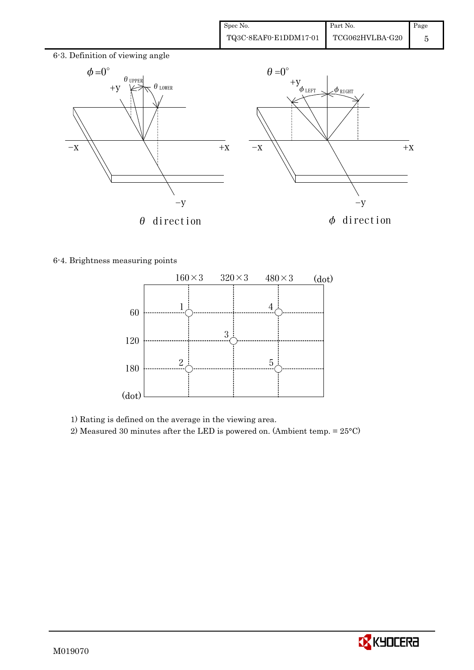

6-4. Brightness measuring points



1) Rating is defined on the average in the viewing area.

2) Measured 30 minutes after the LED is powered on. (Ambient temp. = 25°C)

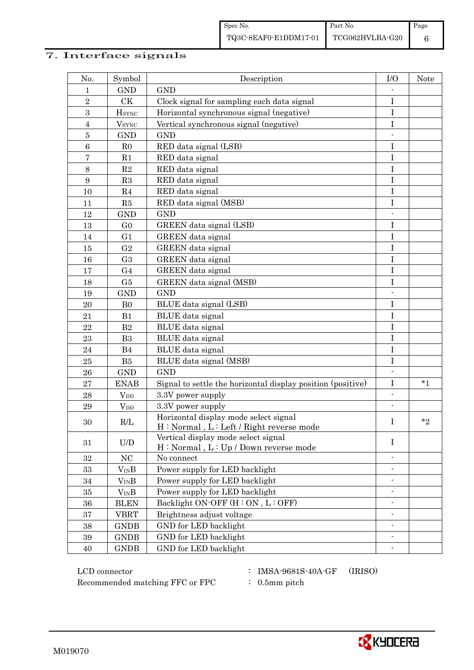# 7. Interface signals

| No.              | Symbol                 | Description                                                                      | I/O                      | Note    |
|------------------|------------------------|----------------------------------------------------------------------------------|--------------------------|---------|
| 1                | <b>GND</b>             | <b>GND</b>                                                                       |                          |         |
| $\overline{2}$   | CK                     | Clock signal for sampling each data signal                                       | $\bf I$                  |         |
| 3                | $H_{\rm SYNC}$         | Horizontal synchronous signal (negative)                                         | $\mathbf I$              |         |
| $\overline{4}$   | $V_{\rm SYNC}$         | Vertical synchronous signal (negative)                                           | I                        |         |
| $\bf 5$          | <b>GND</b>             | <b>GND</b>                                                                       |                          |         |
| $\,6$            | R <sub>0</sub>         | RED data signal (LSB)                                                            | I                        |         |
| $\overline{7}$   | R1                     | RED data signal                                                                  | $\rm I$                  |         |
| $8\,$            | $\mathbf{R}2$          | RED data signal                                                                  | $\mathbf I$              |         |
| $\boldsymbol{9}$ | R3                     | RED data signal                                                                  | $\mathbf I$              |         |
| 10               | R <sub>4</sub>         | RED data signal                                                                  | I                        |         |
| 11               | R5                     | RED data signal (MSB)                                                            | $\mathbf I$              |         |
| 12               | <b>GND</b>             | <b>GND</b>                                                                       |                          |         |
| 13               | G <sub>0</sub>         | GREEN data signal (LSB)                                                          | $\bf I$                  |         |
| 14               | G <sub>1</sub>         | <b>GREEN</b> data signal                                                         | $\mathbf I$              |         |
| 15               | G <sub>2</sub>         | GREEN data signal                                                                | I                        |         |
| 16               | G <sub>3</sub>         | GREEN data signal                                                                | $\mathbf I$              |         |
| 17               | G <sub>4</sub>         | GREEN data signal                                                                | $\mathbf I$              |         |
| 18               | G5                     | GREEN data signal (MSB)                                                          | $\mathbf I$              |         |
| 19               | <b>GND</b>             | <b>GND</b>                                                                       | $\frac{1}{2}$            |         |
| 20               | B <sub>0</sub>         | BLUE data signal (LSB)                                                           | $\mathbf I$              |         |
| 21               | B1                     | BLUE data signal                                                                 | I                        |         |
| 22               | $\mathbf{B}2$          | BLUE data signal                                                                 | $\mathbf I$              |         |
| 23               | B <sub>3</sub>         | BLUE data signal                                                                 | $\bf I$                  |         |
| $\sqrt{24}$      | B <sub>4</sub>         | BLUE data signal                                                                 | $\rm I$                  |         |
| 25               | B5                     | BLUE data signal (MSB)                                                           | $\mathbf I$              |         |
| 26               | <b>GND</b>             | <b>GND</b>                                                                       |                          |         |
| 27               | <b>ENAB</b>            | Signal to settle the horizontal display position (positive)                      | $\mathbf I$              | $*_{1}$ |
| 28               | $V_{DD}$               | 3.3V power supply                                                                | $\overline{\phantom{0}}$ |         |
| 29               | <b>V</b> <sub>DD</sub> | 3.3V power supply                                                                | $\overline{\phantom{a}}$ |         |
| 30               | R/L                    | Horizontal display mode select signal<br>H: Normal, L: Left / Right reverse mode | I                        | $*_{2}$ |
| 31               | U/D                    | Vertical display mode select signal<br>H: Normal, L: Up / Down reverse mode      | $\mathbf I$              |         |
| 32               | NC                     | No connect                                                                       |                          |         |
| 33               | $V_{\rm IN}B$          | Power supply for LED backlight                                                   |                          |         |
| 34               | $V_{IN}B$              | Power supply for LED backlight                                                   | $\overline{\phantom{0}}$ |         |
| 35               | $V_{IN}B$              | Power supply for LED backlight                                                   |                          |         |
| 36               | <b>BLEN</b>            | Backlight ON-OFF (H: ON, L: OFF)                                                 |                          |         |
| $37\,$           | <b>VBRT</b>            | Brightness adjust voltage                                                        |                          |         |
| 38               | <b>GNDB</b>            | GND for LED backlight                                                            | $\overline{\phantom{0}}$ |         |
| 39               | <b>GNDB</b>            | GND for LED backlight                                                            | $\overline{\phantom{a}}$ |         |
| 40               | <b>GNDB</b>            | GND for LED backlight                                                            |                          |         |

 LCD connector : IMSA-9681S-40A-GF (IRISO) Recommended matching FFC or FPC  $\qquad$  : 0.5mm pitch

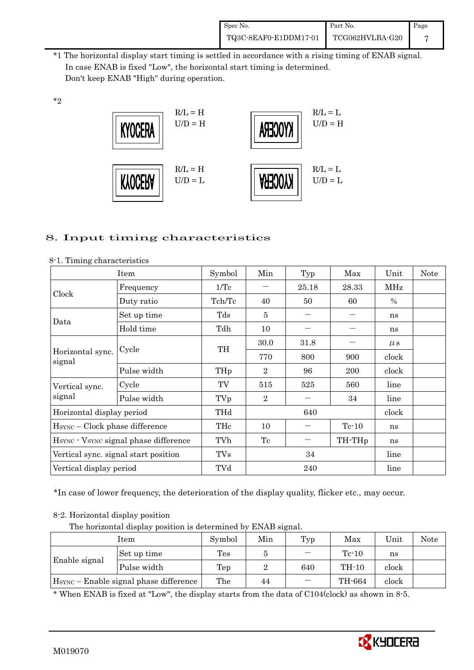| Spec No.              | Part No.                     | Page |
|-----------------------|------------------------------|------|
| TQ3C-8EAF0-E1DDM17-01 | $\rm TCG062HVLBA\mbox{-}G20$ |      |

 \*1 The horizontal display start timing is settled in accordance with a rising timing of ENAB signal. In case ENAB is fixed "Low", the horizontal start timing is determined. Don't keep ENAB "High" during operation.



# 8. Input timing characteristics

|                                       | Item        | Symbol | Min            | Typ   | Max                | Unit          | <b>Note</b> |
|---------------------------------------|-------------|--------|----------------|-------|--------------------|---------------|-------------|
|                                       | Frequency   | 1/Tc   |                | 25.18 | 28.33              | MHz           |             |
| Clock                                 | Duty ratio  | Tch/Tc | 40             | 50    | 60                 | $\frac{0}{0}$ |             |
| Data                                  | Set up time | Tds    | 5              |       |                    | ns            |             |
|                                       | Hold time   | Tdh    | 10             |       |                    | ns            |             |
|                                       |             | TH     | 30.0           | 31.8  |                    | $\mu$ s       |             |
| Horizontal sync.<br>signal            | Cycle       |        | 770            | 800   | 900                | clock         |             |
|                                       | Pulse width | THp    | $\overline{2}$ | 96    | 200                | clock         |             |
| Vertical sync.                        | Cycle       | TV     | 515            | 525   | 560                | line          |             |
| signal                                | Pulse width | TVp    | $\overline{2}$ |       | 34                 | line          |             |
| Horizontal display period             |             | THd    |                | 640   |                    | clock         |             |
| $HSYNC - Clock phase difference$      |             | THc    | 10             |       | $Tc-10$            | ns            |             |
| HSYNC · VSYNC signal phase difference |             | TVh    | Tc             |       | TH-TH <sub>p</sub> | ns            |             |
| Vertical sync. signal start position  |             | TVs    |                | 34    |                    | line          |             |
| Vertical display period               |             | TVd    |                | 240   |                    | line          |             |

8-1. Timing characteristics

\*2

\*In case of lower frequency, the deterioration of the display quality, flicker etc., may occur.

#### 8-2. Horizontal display position

The horizontal display position is determined by ENAB signal.

| Item                                               |             | Symbol | Min | Typ | Max     | Unit  | Note |
|----------------------------------------------------|-------------|--------|-----|-----|---------|-------|------|
| Enable signal                                      | Set up time | Tes    |     |     | $Te-10$ | ns    |      |
|                                                    | Pulse width | Tep    |     | 640 | TH-10   | clock |      |
| H <sub>SYNC</sub> – Enable signal phase difference |             | The    | 44  |     | TH-664  | clock |      |

\* When ENAB is fixed at "Low", the display starts from the data of C104(clock) as shown in 8-5.

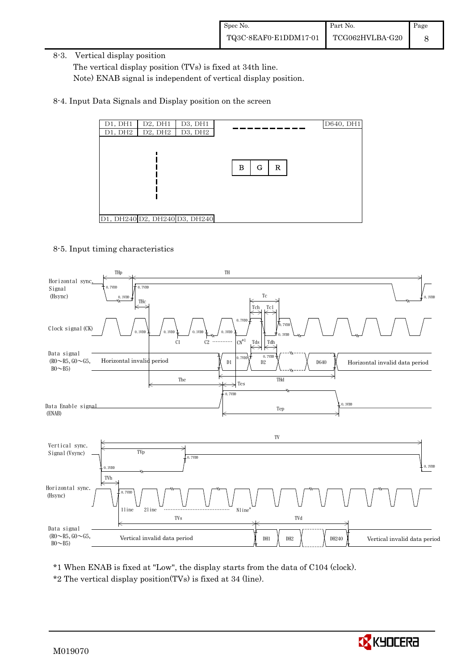8-3. Vertical display position

 The vertical display position (TVs) is fixed at 34th line. Note) ENAB signal is independent of vertical display position.

8-4. Input Data Signals and Display position on the screen



8-5. Input timing characteristics



\*1 When ENAB is fixed at "Low", the display starts from the data of C104 (clock).

\*2 The vertical display position(TVs) is fixed at 34 (line).

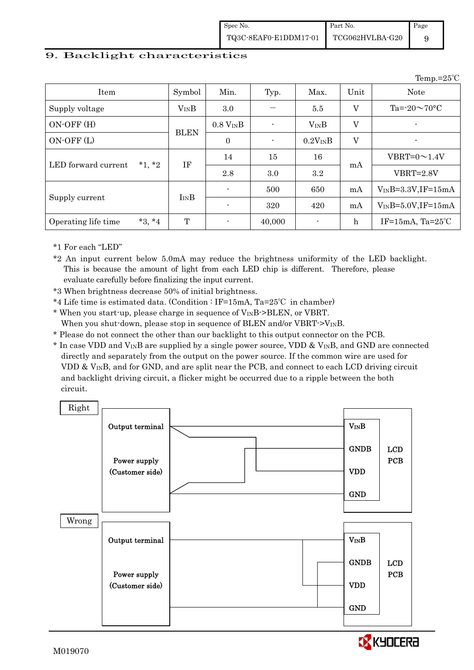| Spec No.              | Part No.        | Page |
|-----------------------|-----------------|------|
| TQ3C-8EAF0-E1DDM17-01 | TCG062HVLBA-G20 |      |

 $T_{\text{om}} = 25^\circ C$ 

#### 9. Backlight characteristics

|                                 |             |                |                |              |                | $1$ cinp. $-20$             |
|---------------------------------|-------------|----------------|----------------|--------------|----------------|-----------------------------|
| Item                            | Symbol      | Min.           | Typ.           | Max.         | Unit           | <b>Note</b>                 |
| Supply voltage                  | $V_{IN}B$   | 3.0            |                | 5.5          | V              | Ta= $-20 \sim 70$ °C        |
| $ON-OFF(H)$                     |             | $0.8 V_{IN}B$  |                | $V_{IN}B$    | V              | -                           |
| ON-OFF(L)                       | <b>BLEN</b> | $\overline{0}$ | $\blacksquare$ | $0.2V_{IN}B$ | $\overline{V}$ | -                           |
| $*1$ , $*2$                     | IF          | 14             | 15             | 16           |                | $VBRT=0 \sim 1.4 V$         |
| LED forward current             |             | 2.8            | 3.0            | 3.2          | mA             | $VBRT = 2.8V$               |
|                                 |             |                | 500            | 650          | mA             | $V_{IN}B=3.3V,IF=15mA$      |
| Supply current                  | ImB         |                | 320            | 420          | mA             | $V_{IN}B=5.0V, IF=15mA$     |
| $*3, *4$<br>Operating life time | T           |                | 40,000         |              | $\mathbf h$    | IF=15mA, Ta= $25^{\circ}$ C |

\*1 For each "LED"

\*2 An input current below 5.0mA may reduce the brightness uniformity of the LED backlight. This is because the amount of light from each LED chip is different. Therefore, please evaluate carefully before finalizing the input current.

\*3 When brightness decrease 50% of initial brightness.

- \*4 Life time is estimated data. (Condition : IF=15mA, Ta=25℃ in chamber)
- \* When you start-up, please charge in sequence of VINB->BLEN, or VBRT. When you shut-down, please stop in sequence of BLEN and/or VBRT- $>V_{\text{IN}}B$ .
- \* Please do not connect the other than our backlight to this output connector on the PCB.
- $*$  In case VDD and V<sub>IN</sub>B are supplied by a single power source, VDD & V<sub>IN</sub>B, and GND are connected directly and separately from the output on the power source. If the common wire are used for VDD  $\&$  V<sub>IN</sub>B, and for GND, and are split near the PCB, and connect to each LCD driving circuit and backlight driving circuit, a flicker might be occurred due to a ripple between the both circuit.

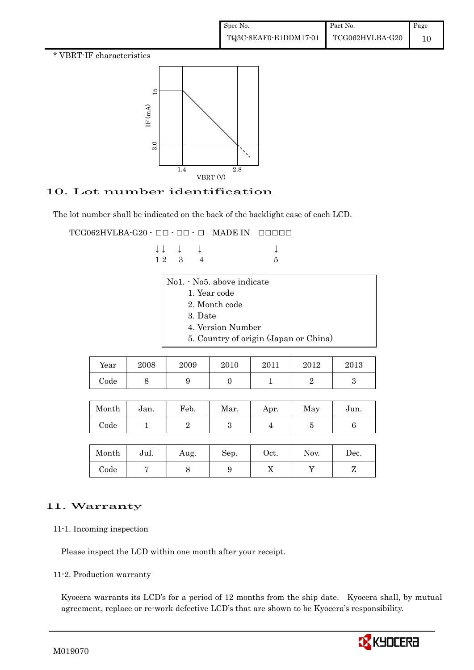\* VBRT-IF characteristics



# 10. Lot number identification

The lot number shall be indicated on the back of the backlight case of each LCD.

 $\texttt{TCG062HVLBA-G20} \cdot \texttt{OD} \cdot \texttt{OD} \cdot \texttt{O} \quad \texttt{MADE IN} \quad \texttt{ODODO}$ 

|  | $\downarrow \downarrow \quad \downarrow \quad \downarrow$ |     |
|--|-----------------------------------------------------------|-----|
|  | 12 3 4                                                    | - 5 |

| 3. Date                               |  |  |  |  |  |
|---------------------------------------|--|--|--|--|--|
|                                       |  |  |  |  |  |
| 5. Country of origin (Japan or China) |  |  |  |  |  |
|                                       |  |  |  |  |  |

| Year | 2008 | 2009 | 2010 | 2011 | 2012 | 2013 |
|------|------|------|------|------|------|------|
| Code | ັ    |      |      |      |      |      |

| Month      | Jan. | Feb. | Mar. | Apr. | May | Jun. |
|------------|------|------|------|------|-----|------|
| $\rm Code$ |      |      |      |      |     |      |

| Month | Jul. | Aug. | Sep. | Oct. | Nov. | Dec.     |
|-------|------|------|------|------|------|----------|
| Code  |      |      | ັ    | 77   |      | <u>.</u> |

# 11. Warranty

11-1. Incoming inspection

Please inspect the LCD within one month after your receipt.

11-2. Production warranty

 Kyocera warrants its LCD's for a period of 12 months from the ship date. Kyocera shall, by mutual agreement, replace or re-work defective LCD's that are shown to be Kyocera's responsibility.

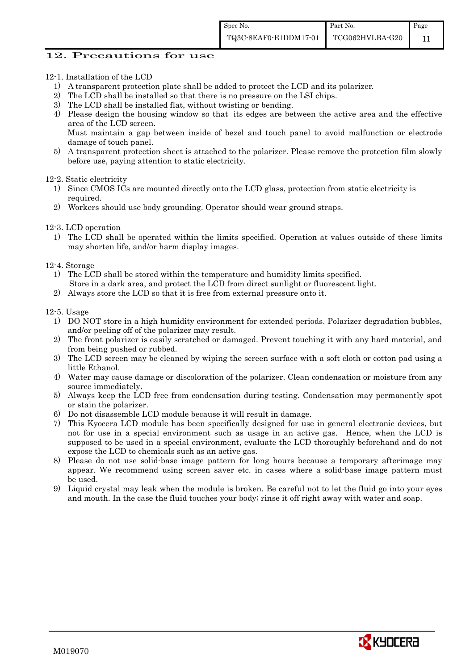#### 12. Precautions for use

12-1. Installation of the LCD

- 1) A transparent protection plate shall be added to protect the LCD and its polarizer.
- 2) The LCD shall be installed so that there is no pressure on the LSI chips.
- 3) The LCD shall be installed flat, without twisting or bending.
- 4) Please design the housing window so that its edges are between the active area and the effective area of the LCD screen.

Must maintain a gap between inside of bezel and touch panel to avoid malfunction or electrode damage of touch panel.

5) A transparent protection sheet is attached to the polarizer. Please remove the protection film slowly before use, paying attention to static electricity.

12-2. Static electricity

- 1) Since CMOS ICs are mounted directly onto the LCD glass, protection from static electricity is required.
- 2) Workers should use body grounding. Operator should wear ground straps.
- 12-3. LCD operation
	- 1) The LCD shall be operated within the limits specified. Operation at values outside of these limits may shorten life, and/or harm display images.
- 12-4. Storage
	- 1) The LCD shall be stored within the temperature and humidity limits specified. Store in a dark area, and protect the LCD from direct sunlight or fluorescent light.
	- 2) Always store the LCD so that it is free from external pressure onto it.

12-5. Usage

- 1) DO NOT store in a high humidity environment for extended periods. Polarizer degradation bubbles, and/or peeling off of the polarizer may result.
- 2) The front polarizer is easily scratched or damaged. Prevent touching it with any hard material, and from being pushed or rubbed.
- 3) The LCD screen may be cleaned by wiping the screen surface with a soft cloth or cotton pad using a little Ethanol.
- 4) Water may cause damage or discoloration of the polarizer. Clean condensation or moisture from any source immediately.
- 5) Always keep the LCD free from condensation during testing. Condensation may permanently spot or stain the polarizer.
- 6) Do not disassemble LCD module because it will result in damage.
- 7) This Kyocera LCD module has been specifically designed for use in general electronic devices, but not for use in a special environment such as usage in an active gas. Hence, when the LCD is supposed to be used in a special environment, evaluate the LCD thoroughly beforehand and do not expose the LCD to chemicals such as an active gas.
- 8) Please do not use solid-base image pattern for long hours because a temporary afterimage may appear. We recommend using screen saver etc. in cases where a solid-base image pattern must be used.
- 9) Liquid crystal may leak when the module is broken. Be careful not to let the fluid go into your eyes and mouth. In the case the fluid touches your body; rinse it off right away with water and soap.

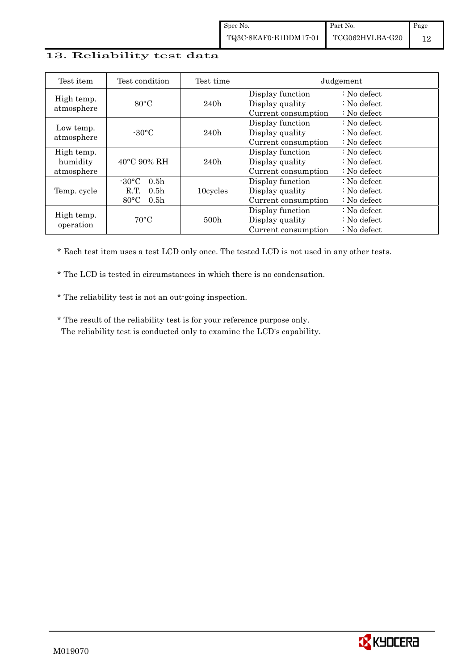### 13. Reliability test data

| Test item                            | Test condition                                                                                        | Test time        |                                                            | Judgement                                                                  |
|--------------------------------------|-------------------------------------------------------------------------------------------------------|------------------|------------------------------------------------------------|----------------------------------------------------------------------------|
| High temp.<br>atmosphere             | $80^{\circ}$ C                                                                                        | 240h             | Display function<br>Display quality<br>Current consumption | $: No$ defect<br>$\therefore$ No defect<br>$\therefore$ No defect          |
| Low temp.<br>atmosphere              | $-30^{\circ}$ C                                                                                       | 240h             | Display function<br>Display quality<br>Current consumption | $\therefore$ No defect<br>: No defect<br>$\therefore$ No defect            |
| High temp.<br>humidity<br>atmosphere | $40^{\circ}$ C 90% RH                                                                                 | 240h             | Display function<br>Display quality<br>Current consumption | $\therefore$ No defect<br>$\therefore$ No defect<br>$\therefore$ No defect |
| Temp. cycle                          | $-30^{\circ}$ C<br>0.5 <sub>h</sub><br>R.T.<br>0.5 <sub>h</sub><br>$80^{\circ}$ C<br>0.5 <sub>h</sub> | 10cycles         | Display function<br>Display quality<br>Current consumption | $\therefore$ No defect<br>$\therefore$ No defect<br>$\therefore$ No defect |
| High temp.<br>operation              | $70^{\circ}$ C                                                                                        | 500 <sub>h</sub> | Display function<br>Display quality<br>Current consumption | $\therefore$ No defect<br>$\therefore$ No defect<br>$\therefore$ No defect |

\* Each test item uses a test LCD only once. The tested LCD is not used in any other tests.

\* The LCD is tested in circumstances in which there is no condensation.

\* The reliability test is not an out-going inspection.

 \* The result of the reliability test is for your reference purpose only. The reliability test is conducted only to examine the LCD's capability.

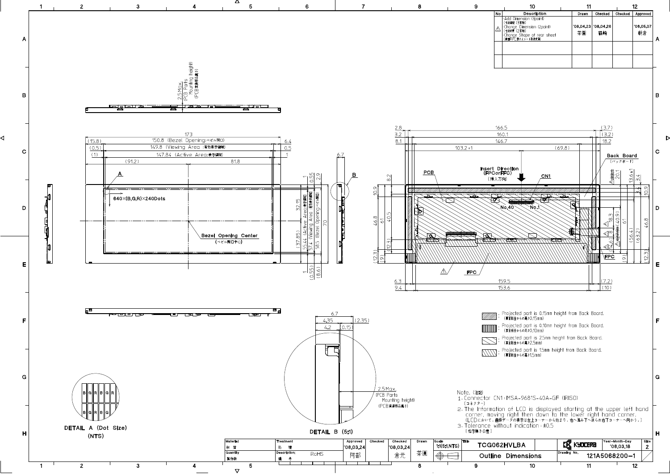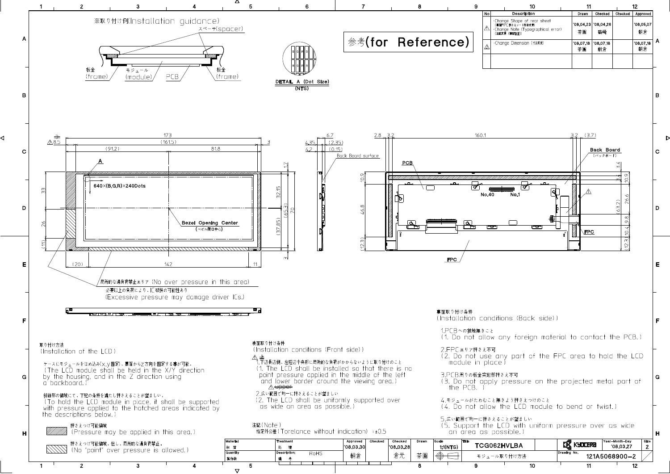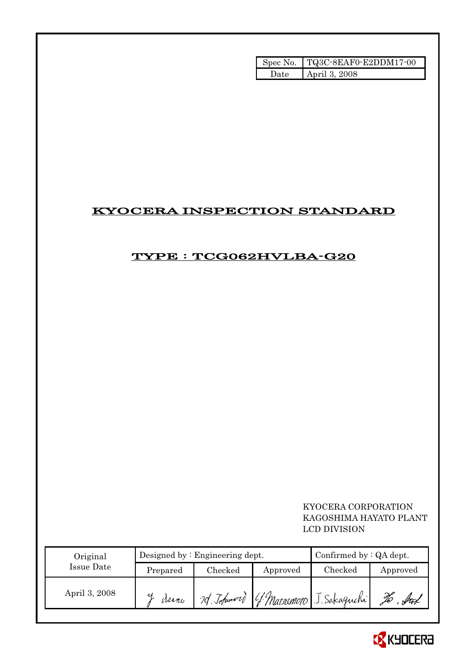|       | Spec No.   TQ3C-8EAF0-E2DDM17-00 |
|-------|----------------------------------|
| Date. | April 3, 2008                    |

# KYOCERA INSPECTION STANDARD

# TYPE : TCG062HVLBA-G20

 KYOCERA CORPORATION KAGOSHIMA HAYATO PLANT LCD DIVISION

| Original      |            | Designed by $:$ Engineering dept. | Confirmed by $:QA$ dept. |                            |          |
|---------------|------------|-----------------------------------|--------------------------|----------------------------|----------|
| Issue Date    | Prepared   | Checked                           | Approved                 | Checked                    | Approved |
| April 3, 2008 | И<br>Meano | 70 Johnwort                       |                          | [ Watsumoto J. Sakaguchi ] |          |

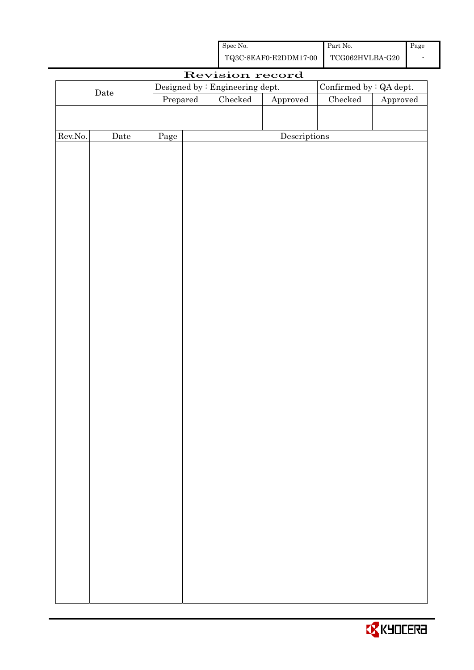| Spec No.              | Part No.        | Page |
|-----------------------|-----------------|------|
| TQ3C-8EAF0-E2DDM17-00 | TCG062HVLBA-G20 |      |

|                  |             |          |                                 | Revision record                      |                         |          |
|------------------|-------------|----------|---------------------------------|--------------------------------------|-------------------------|----------|
|                  |             |          | Designed by : Engineering dept. |                                      | Confirmed by : QA dept. |          |
|                  | $\rm{Date}$ | Prepared | Checked                         | Approved                             | $\rm Checked$           | Approved |
|                  |             |          |                                 |                                      |                         |          |
|                  |             |          |                                 |                                      |                         |          |
| ${\rm Rev. No.}$ | Date        | Page     |                                 | $\label{eq:2} \textbf{Descriptions}$ |                         |          |
|                  |             |          |                                 |                                      |                         |          |
|                  |             |          |                                 |                                      |                         |          |
|                  |             |          |                                 |                                      |                         |          |
|                  |             |          |                                 |                                      |                         |          |
|                  |             |          |                                 |                                      |                         |          |
|                  |             |          |                                 |                                      |                         |          |
|                  |             |          |                                 |                                      |                         |          |
|                  |             |          |                                 |                                      |                         |          |
|                  |             |          |                                 |                                      |                         |          |
|                  |             |          |                                 |                                      |                         |          |
|                  |             |          |                                 |                                      |                         |          |
|                  |             |          |                                 |                                      |                         |          |
|                  |             |          |                                 |                                      |                         |          |
|                  |             |          |                                 |                                      |                         |          |
|                  |             |          |                                 |                                      |                         |          |
|                  |             |          |                                 |                                      |                         |          |
|                  |             |          |                                 |                                      |                         |          |
|                  |             |          |                                 |                                      |                         |          |
|                  |             |          |                                 |                                      |                         |          |
|                  |             |          |                                 |                                      |                         |          |
|                  |             |          |                                 |                                      |                         |          |
|                  |             |          |                                 |                                      |                         |          |
|                  |             |          |                                 |                                      |                         |          |
|                  |             |          |                                 |                                      |                         |          |
|                  |             |          |                                 |                                      |                         |          |
|                  |             |          |                                 |                                      |                         |          |
|                  |             |          |                                 |                                      |                         |          |
|                  |             |          |                                 |                                      |                         |          |
|                  |             |          |                                 |                                      |                         |          |
|                  |             |          |                                 |                                      |                         |          |
|                  |             |          |                                 |                                      |                         |          |
|                  |             |          |                                 |                                      |                         |          |
|                  |             |          |                                 |                                      |                         |          |
|                  |             |          |                                 |                                      |                         |          |
|                  |             |          |                                 |                                      |                         |          |
|                  |             |          |                                 |                                      |                         |          |
|                  |             |          |                                 |                                      |                         |          |

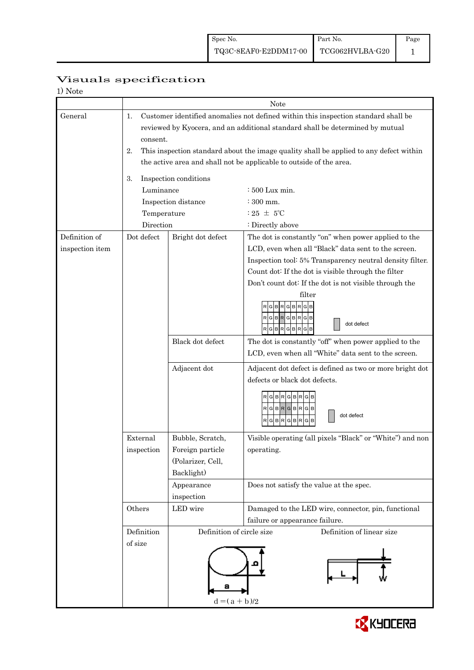| Visuals specification |
|-----------------------|
|-----------------------|

| 1) Note         |             |                                                                                        |                                                                               |  |  |  |  |  |
|-----------------|-------------|----------------------------------------------------------------------------------------|-------------------------------------------------------------------------------|--|--|--|--|--|
|                 |             | Note                                                                                   |                                                                               |  |  |  |  |  |
| General         | 1.          | Customer identified anomalies not defined within this inspection standard shall be     |                                                                               |  |  |  |  |  |
|                 |             |                                                                                        | reviewed by Kyocera, and an additional standard shall be determined by mutual |  |  |  |  |  |
|                 | consent.    |                                                                                        |                                                                               |  |  |  |  |  |
|                 | 2.          | This inspection standard about the image quality shall be applied to any defect within |                                                                               |  |  |  |  |  |
|                 |             | the active area and shall not be applicable to outside of the area.                    |                                                                               |  |  |  |  |  |
|                 | 3.          | Inspection conditions                                                                  |                                                                               |  |  |  |  |  |
|                 | Luminance   |                                                                                        | : 500 Lux min.                                                                |  |  |  |  |  |
|                 |             | Inspection distance                                                                    | $\div$ 300 mm.                                                                |  |  |  |  |  |
|                 | Temperature |                                                                                        | $:25 \pm 5^{\circ}$ C                                                         |  |  |  |  |  |
|                 | Direction   |                                                                                        | : Directly above                                                              |  |  |  |  |  |
| Definition of   | Dot defect  | Bright dot defect                                                                      | The dot is constantly "on" when power applied to the                          |  |  |  |  |  |
| inspection item |             |                                                                                        | LCD, even when all "Black" data sent to the screen.                           |  |  |  |  |  |
|                 |             |                                                                                        | Inspection tool: 5% Transparency neutral density filter.                      |  |  |  |  |  |
|                 |             |                                                                                        | Count dot: If the dot is visible through the filter                           |  |  |  |  |  |
|                 |             |                                                                                        | Don't count dot: If the dot is not visible through the                        |  |  |  |  |  |
|                 |             |                                                                                        | filter                                                                        |  |  |  |  |  |
|                 |             |                                                                                        | $G$ $B$ $R$ $G$ $B$ $R$ $G$ $B$<br>$RG$ B $RG$ B $RG$ B                       |  |  |  |  |  |
|                 |             |                                                                                        | dot defect<br>RGBRGBRGB                                                       |  |  |  |  |  |
|                 |             | Black dot defect                                                                       | The dot is constantly "off" when power applied to the                         |  |  |  |  |  |
|                 |             |                                                                                        | LCD, even when all "White" data sent to the screen.                           |  |  |  |  |  |
|                 |             | Adjacent dot                                                                           | Adjacent dot defect is defined as two or more bright dot                      |  |  |  |  |  |
|                 |             |                                                                                        | defects or black dot defects.                                                 |  |  |  |  |  |
|                 |             |                                                                                        | RGBRGB                                                                        |  |  |  |  |  |
|                 |             |                                                                                        | RGBRGBRGB                                                                     |  |  |  |  |  |
|                 |             |                                                                                        | dot defect<br>$R$ G $B$ $R$<br>G B <br>R<br>G B                               |  |  |  |  |  |
|                 |             |                                                                                        |                                                                               |  |  |  |  |  |
|                 | External    | Bubble, Scratch,                                                                       | Visible operating (all pixels "Black" or "White") and non                     |  |  |  |  |  |
|                 | inspection  | Foreign particle                                                                       | operating.                                                                    |  |  |  |  |  |
|                 |             | (Polarizer, Cell,                                                                      |                                                                               |  |  |  |  |  |
|                 |             | Backlight)                                                                             |                                                                               |  |  |  |  |  |
|                 |             | Appearance<br>inspection                                                               | Does not satisfy the value at the spec.                                       |  |  |  |  |  |
|                 | Others      | LED wire                                                                               | Damaged to the LED wire, connector, pin, functional                           |  |  |  |  |  |
|                 |             |                                                                                        | failure or appearance failure.                                                |  |  |  |  |  |
|                 | Definition  | Definition of circle size                                                              | Definition of linear size                                                     |  |  |  |  |  |
|                 | of size     |                                                                                        |                                                                               |  |  |  |  |  |
|                 |             |                                                                                        |                                                                               |  |  |  |  |  |
|                 |             |                                                                                        |                                                                               |  |  |  |  |  |
|                 |             |                                                                                        |                                                                               |  |  |  |  |  |
|                 |             | э                                                                                      |                                                                               |  |  |  |  |  |
|                 |             | $d = (a + b)/2$                                                                        |                                                                               |  |  |  |  |  |